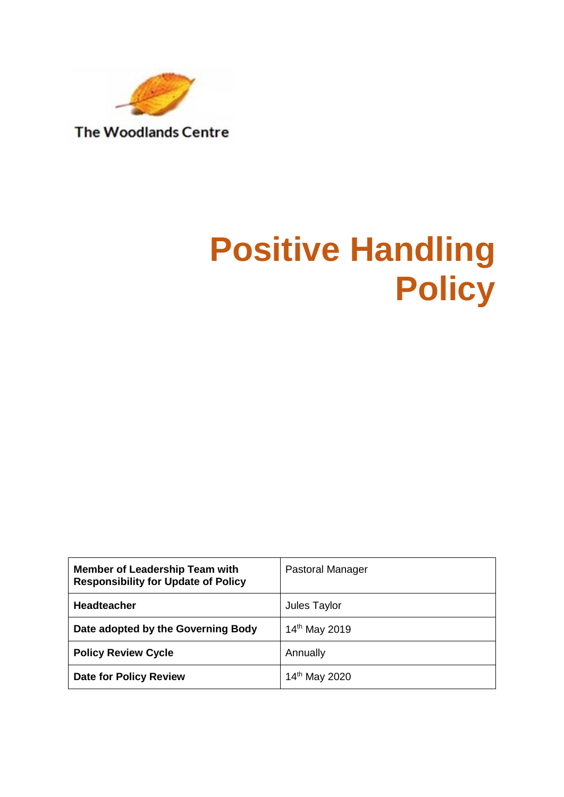

**The Woodlands Centre** 

# **Positive Handling Policy**

| <b>Member of Leadership Team with</b><br><b>Responsibility for Update of Policy</b> | <b>Pastoral Manager</b>   |
|-------------------------------------------------------------------------------------|---------------------------|
| <b>Headteacher</b>                                                                  | Jules Taylor              |
| Date adopted by the Governing Body                                                  | 14 <sup>th</sup> May 2019 |
| <b>Policy Review Cycle</b>                                                          | Annually                  |
| <b>Date for Policy Review</b>                                                       | 14th May 2020             |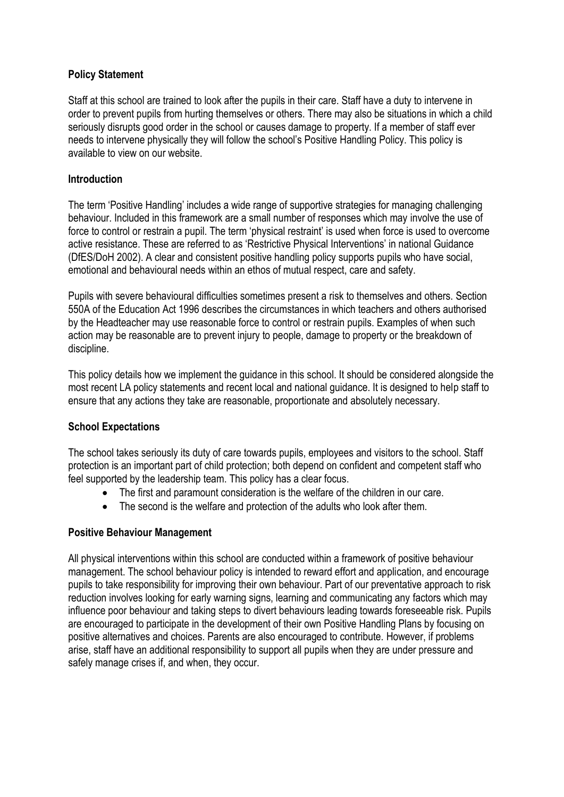## **Policy Statement**

Staff at this school are trained to look after the pupils in their care. Staff have a duty to intervene in order to prevent pupils from hurting themselves or others. There may also be situations in which a child seriously disrupts good order in the school or causes damage to property. If a member of staff ever needs to intervene physically they will follow the school's Positive Handling Policy. This policy is available to view on our website.

## **Introduction**

The term 'Positive Handling' includes a wide range of supportive strategies for managing challenging behaviour. Included in this framework are a small number of responses which may involve the use of force to control or restrain a pupil. The term 'physical restraint' is used when force is used to overcome active resistance. These are referred to as 'Restrictive Physical Interventions' in national Guidance (DfES/DoH 2002). A clear and consistent positive handling policy supports pupils who have social, emotional and behavioural needs within an ethos of mutual respect, care and safety.

Pupils with severe behavioural difficulties sometimes present a risk to themselves and others. Section 550A of the Education Act 1996 describes the circumstances in which teachers and others authorised by the Headteacher may use reasonable force to control or restrain pupils. Examples of when such action may be reasonable are to prevent injury to people, damage to property or the breakdown of discipline.

This policy details how we implement the guidance in this school. It should be considered alongside the most recent LA policy statements and recent local and national guidance. It is designed to help staff to ensure that any actions they take are reasonable, proportionate and absolutely necessary.

# **School Expectations**

The school takes seriously its duty of care towards pupils, employees and visitors to the school. Staff protection is an important part of child protection; both depend on confident and competent staff who feel supported by the leadership team. This policy has a clear focus.

- The first and paramount consideration is the welfare of the children in our care.
- The second is the welfare and protection of the adults who look after them.

## **Positive Behaviour Management**

All physical interventions within this school are conducted within a framework of positive behaviour management. The school behaviour policy is intended to reward effort and application, and encourage pupils to take responsibility for improving their own behaviour. Part of our preventative approach to risk reduction involves looking for early warning signs, learning and communicating any factors which may influence poor behaviour and taking steps to divert behaviours leading towards foreseeable risk. Pupils are encouraged to participate in the development of their own Positive Handling Plans by focusing on positive alternatives and choices. Parents are also encouraged to contribute. However, if problems arise, staff have an additional responsibility to support all pupils when they are under pressure and safely manage crises if, and when, they occur.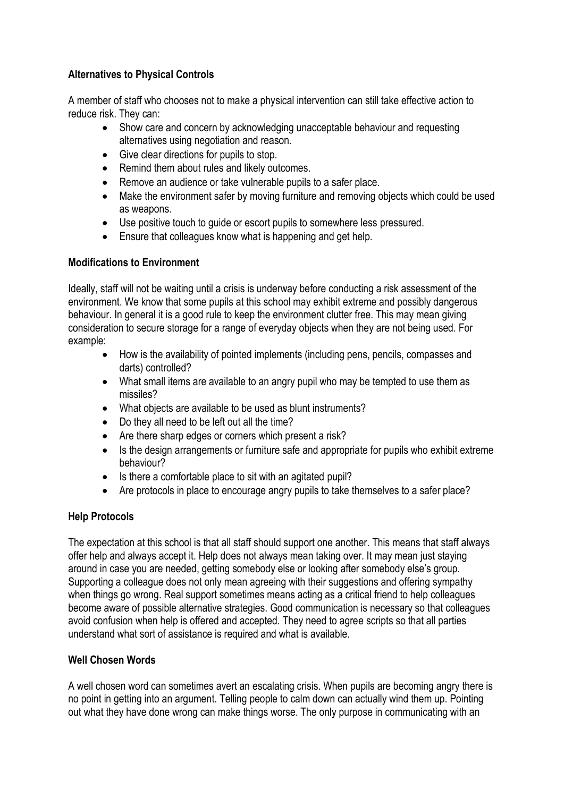# **Alternatives to Physical Controls**

A member of staff who chooses not to make a physical intervention can still take effective action to reduce risk. They can:

- Show care and concern by acknowledging unacceptable behaviour and requesting alternatives using negotiation and reason.
- Give clear directions for pupils to stop.
- Remind them about rules and likely outcomes.
- Remove an audience or take vulnerable pupils to a safer place.
- Make the environment safer by moving furniture and removing objects which could be used as weapons.
- Use positive touch to guide or escort pupils to somewhere less pressured.
- Ensure that colleagues know what is happening and get help.

## **Modifications to Environment**

Ideally, staff will not be waiting until a crisis is underway before conducting a risk assessment of the environment. We know that some pupils at this school may exhibit extreme and possibly dangerous behaviour. In general it is a good rule to keep the environment clutter free. This may mean giving consideration to secure storage for a range of everyday objects when they are not being used. For example:

- How is the availability of pointed implements (including pens, pencils, compasses and darts) controlled?
- What small items are available to an angry pupil who may be tempted to use them as missiles?
- What objects are available to be used as blunt instruments?
- Do they all need to be left out all the time?
- Are there sharp edges or corners which present a risk?
- Is the design arrangements or furniture safe and appropriate for pupils who exhibit extreme behaviour?
- Is there a comfortable place to sit with an agitated pupil?
- Are protocols in place to encourage angry pupils to take themselves to a safer place?

## **Help Protocols**

The expectation at this school is that all staff should support one another. This means that staff always offer help and always accept it. Help does not always mean taking over. It may mean just staying around in case you are needed, getting somebody else or looking after somebody else's group. Supporting a colleague does not only mean agreeing with their suggestions and offering sympathy when things go wrong. Real support sometimes means acting as a critical friend to help colleagues become aware of possible alternative strategies. Good communication is necessary so that colleagues avoid confusion when help is offered and accepted. They need to agree scripts so that all parties understand what sort of assistance is required and what is available.

## **Well Chosen Words**

A well chosen word can sometimes avert an escalating crisis. When pupils are becoming angry there is no point in getting into an argument. Telling people to calm down can actually wind them up. Pointing out what they have done wrong can make things worse. The only purpose in communicating with an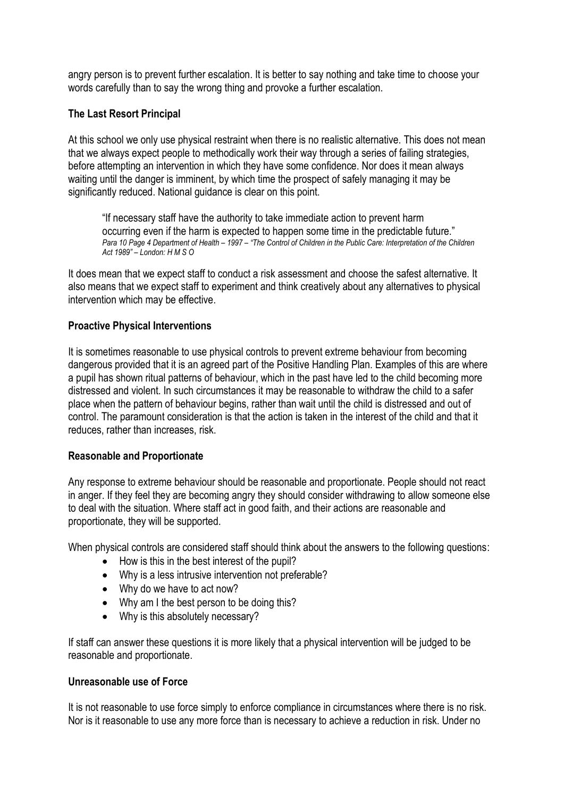angry person is to prevent further escalation. It is better to say nothing and take time to choose your words carefully than to say the wrong thing and provoke a further escalation.

## **The Last Resort Principal**

At this school we only use physical restraint when there is no realistic alternative. This does not mean that we always expect people to methodically work their way through a series of failing strategies, before attempting an intervention in which they have some confidence. Nor does it mean always waiting until the danger is imminent, by which time the prospect of safely managing it may be significantly reduced. National guidance is clear on this point.

"If necessary staff have the authority to take immediate action to prevent harm occurring even if the harm is expected to happen some time in the predictable future." *Para 10 Page 4 Department of Health – 1997 – "The Control of Children in the Public Care: Interpretation of the Children Act 1989" – London: H M S O*

It does mean that we expect staff to conduct a risk assessment and choose the safest alternative. It also means that we expect staff to experiment and think creatively about any alternatives to physical intervention which may be effective.

## **Proactive Physical Interventions**

It is sometimes reasonable to use physical controls to prevent extreme behaviour from becoming dangerous provided that it is an agreed part of the Positive Handling Plan. Examples of this are where a pupil has shown ritual patterns of behaviour, which in the past have led to the child becoming more distressed and violent. In such circumstances it may be reasonable to withdraw the child to a safer place when the pattern of behaviour begins, rather than wait until the child is distressed and out of control. The paramount consideration is that the action is taken in the interest of the child and that it reduces, rather than increases, risk.

## **Reasonable and Proportionate**

Any response to extreme behaviour should be reasonable and proportionate. People should not react in anger. If they feel they are becoming angry they should consider withdrawing to allow someone else to deal with the situation. Where staff act in good faith, and their actions are reasonable and proportionate, they will be supported.

When physical controls are considered staff should think about the answers to the following questions:

- How is this in the best interest of the pupil?
- Why is a less intrusive intervention not preferable?
- Why do we have to act now?
- Why am I the best person to be doing this?
- Why is this absolutely necessary?

If staff can answer these questions it is more likely that a physical intervention will be judged to be reasonable and proportionate.

#### **Unreasonable use of Force**

It is not reasonable to use force simply to enforce compliance in circumstances where there is no risk. Nor is it reasonable to use any more force than is necessary to achieve a reduction in risk. Under no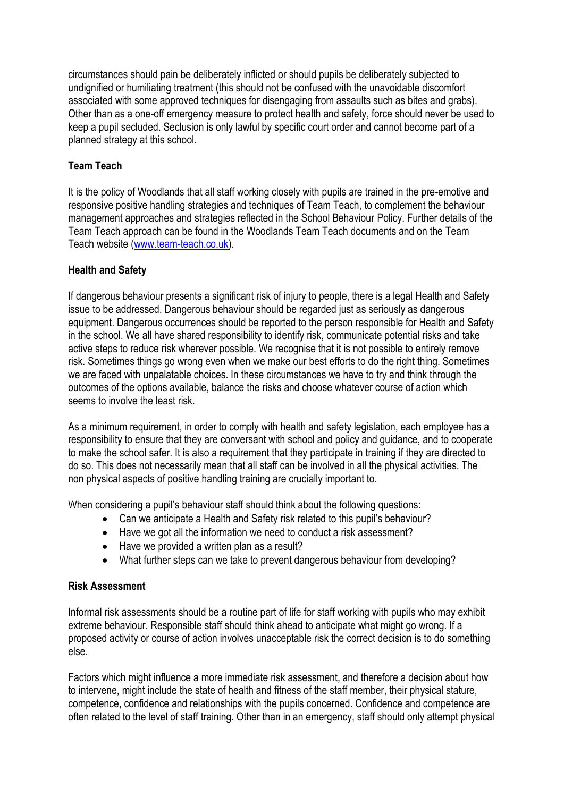circumstances should pain be deliberately inflicted or should pupils be deliberately subjected to undignified or humiliating treatment (this should not be confused with the unavoidable discomfort associated with some approved techniques for disengaging from assaults such as bites and grabs). Other than as a one-off emergency measure to protect health and safety, force should never be used to keep a pupil secluded. Seclusion is only lawful by specific court order and cannot become part of a planned strategy at this school.

# **Team Teach**

It is the policy of Woodlands that all staff working closely with pupils are trained in the pre-emotive and responsive positive handling strategies and techniques of Team Teach, to complement the behaviour management approaches and strategies reflected in the School Behaviour Policy. Further details of the Team Teach approach can be found in the Woodlands Team Teach documents and on the Team Teach website [\(www.team-teach.co.uk\)](http://www.team-teach.co.uk/).

## **Health and Safety**

If dangerous behaviour presents a significant risk of injury to people, there is a legal Health and Safety issue to be addressed. Dangerous behaviour should be regarded just as seriously as dangerous equipment. Dangerous occurrences should be reported to the person responsible for Health and Safety in the school. We all have shared responsibility to identify risk, communicate potential risks and take active steps to reduce risk wherever possible. We recognise that it is not possible to entirely remove risk. Sometimes things go wrong even when we make our best efforts to do the right thing. Sometimes we are faced with unpalatable choices. In these circumstances we have to try and think through the outcomes of the options available, balance the risks and choose whatever course of action which seems to involve the least risk.

As a minimum requirement, in order to comply with health and safety legislation, each employee has a responsibility to ensure that they are conversant with school and policy and guidance, and to cooperate to make the school safer. It is also a requirement that they participate in training if they are directed to do so. This does not necessarily mean that all staff can be involved in all the physical activities. The non physical aspects of positive handling training are crucially important to.

When considering a pupil's behaviour staff should think about the following questions:

- Can we anticipate a Health and Safety risk related to this pupil's behaviour?
- Have we got all the information we need to conduct a risk assessment?
- Have we provided a written plan as a result?
- What further steps can we take to prevent dangerous behaviour from developing?

## **Risk Assessment**

Informal risk assessments should be a routine part of life for staff working with pupils who may exhibit extreme behaviour. Responsible staff should think ahead to anticipate what might go wrong. If a proposed activity or course of action involves unacceptable risk the correct decision is to do something else.

Factors which might influence a more immediate risk assessment, and therefore a decision about how to intervene, might include the state of health and fitness of the staff member, their physical stature, competence, confidence and relationships with the pupils concerned. Confidence and competence are often related to the level of staff training. Other than in an emergency, staff should only attempt physical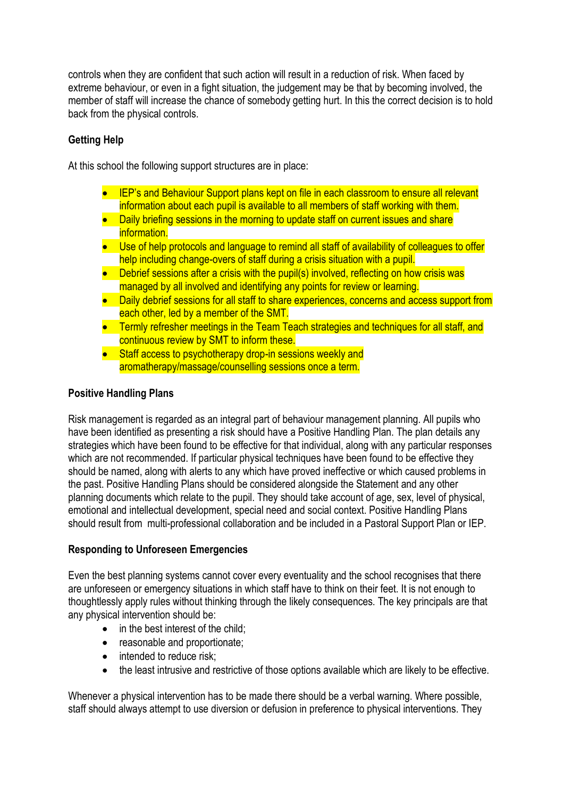controls when they are confident that such action will result in a reduction of risk. When faced by extreme behaviour, or even in a fight situation, the judgement may be that by becoming involved, the member of staff will increase the chance of somebody getting hurt. In this the correct decision is to hold back from the physical controls.

## **Getting Help**

At this school the following support structures are in place:

- IEP's and Behaviour Support plans kept on file in each classroom to ensure all relevant information about each pupil is available to all members of staff working with them.
- Daily briefing sessions in the morning to update staff on current issues and share information.
- Use of help protocols and language to remind all staff of availability of colleagues to offer help including change-overs of staff during a crisis situation with a pupil.
- Debrief sessions after a crisis with the pupil(s) involved, reflecting on how crisis was managed by all involved and identifying any points for review or learning.
- Daily debrief sessions for all staff to share experiences, concerns and access support from each other, led by a member of the SMT.
- Termly refresher meetings in the Team Teach strategies and techniques for all staff, and continuous review by SMT to inform these.
- Staff access to psychotherapy drop-in sessions weekly and aromatherapy/massage/counselling sessions once a term.

#### **Positive Handling Plans**

Risk management is regarded as an integral part of behaviour management planning. All pupils who have been identified as presenting a risk should have a Positive Handling Plan. The plan details any strategies which have been found to be effective for that individual, along with any particular responses which are not recommended. If particular physical techniques have been found to be effective they should be named, along with alerts to any which have proved ineffective or which caused problems in the past. Positive Handling Plans should be considered alongside the Statement and any other planning documents which relate to the pupil. They should take account of age, sex, level of physical, emotional and intellectual development, special need and social context. Positive Handling Plans should result from multi-professional collaboration and be included in a Pastoral Support Plan or IEP.

#### **Responding to Unforeseen Emergencies**

Even the best planning systems cannot cover every eventuality and the school recognises that there are unforeseen or emergency situations in which staff have to think on their feet. It is not enough to thoughtlessly apply rules without thinking through the likely consequences. The key principals are that any physical intervention should be:

- $\bullet$  in the best interest of the child;
- reasonable and proportionate:
- intended to reduce risk:
- the least intrusive and restrictive of those options available which are likely to be effective.

Whenever a physical intervention has to be made there should be a verbal warning. Where possible, staff should always attempt to use diversion or defusion in preference to physical interventions. They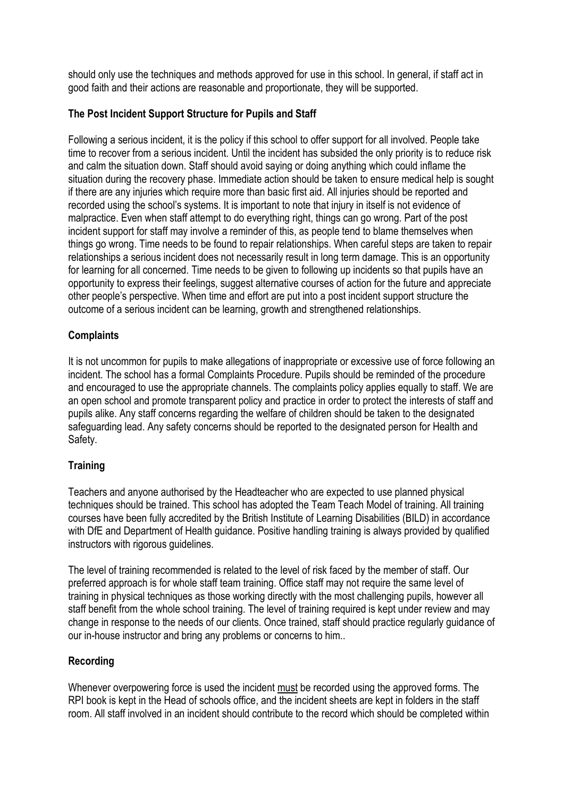should only use the techniques and methods approved for use in this school. In general, if staff act in good faith and their actions are reasonable and proportionate, they will be supported.

## **The Post Incident Support Structure for Pupils and Staff**

Following a serious incident, it is the policy if this school to offer support for all involved. People take time to recover from a serious incident. Until the incident has subsided the only priority is to reduce risk and calm the situation down. Staff should avoid saying or doing anything which could inflame the situation during the recovery phase. Immediate action should be taken to ensure medical help is sought if there are any injuries which require more than basic first aid. All injuries should be reported and recorded using the school's systems. It is important to note that injury in itself is not evidence of malpractice. Even when staff attempt to do everything right, things can go wrong. Part of the post incident support for staff may involve a reminder of this, as people tend to blame themselves when things go wrong. Time needs to be found to repair relationships. When careful steps are taken to repair relationships a serious incident does not necessarily result in long term damage. This is an opportunity for learning for all concerned. Time needs to be given to following up incidents so that pupils have an opportunity to express their feelings, suggest alternative courses of action for the future and appreciate other people's perspective. When time and effort are put into a post incident support structure the outcome of a serious incident can be learning, growth and strengthened relationships.

## **Complaints**

It is not uncommon for pupils to make allegations of inappropriate or excessive use of force following an incident. The school has a formal Complaints Procedure. Pupils should be reminded of the procedure and encouraged to use the appropriate channels. The complaints policy applies equally to staff. We are an open school and promote transparent policy and practice in order to protect the interests of staff and pupils alike. Any staff concerns regarding the welfare of children should be taken to the designated safeguarding lead. Any safety concerns should be reported to the designated person for Health and Safety.

# **Training**

Teachers and anyone authorised by the Headteacher who are expected to use planned physical techniques should be trained. This school has adopted the Team Teach Model of training. All training courses have been fully accredited by the British Institute of Learning Disabilities (BILD) in accordance with DfE and Department of Health guidance. Positive handling training is always provided by qualified instructors with rigorous guidelines.

The level of training recommended is related to the level of risk faced by the member of staff. Our preferred approach is for whole staff team training. Office staff may not require the same level of training in physical techniques as those working directly with the most challenging pupils, however all staff benefit from the whole school training. The level of training required is kept under review and may change in response to the needs of our clients. Once trained, staff should practice regularly guidance of our in-house instructor and bring any problems or concerns to him..

## **Recording**

Whenever overpowering force is used the incident must be recorded using the approved forms. The RPI book is kept in the Head of schools office, and the incident sheets are kept in folders in the staff room. All staff involved in an incident should contribute to the record which should be completed within